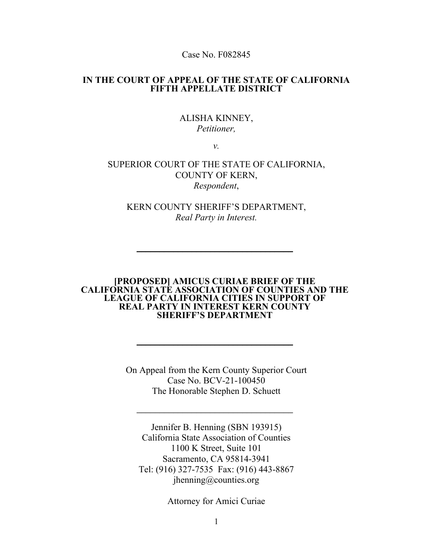Case No. F082845

#### **IN THE COURT OF APPEAL OF THE STATE OF CALIFORNIA FIFTH APPELLATE DISTRICT**

### ALISHA KINNEY, *Petitioner,*

*v.*

### SUPERIOR COURT OF THE STATE OF CALIFORNIA, COUNTY OF KERN, *Respondent*,

KERN COUNTY SHERIFF'S DEPARTMENT, *Real Party in Interest.*

 $\_$ 

#### **[PROPOSED] AMICUS CURIAE BRIEF OF THE CALIFORNIA STATE ASSOCIATION OF COUNTIES AND THE LEAGUE OF CALIFORNIA CITIES IN SUPPORT OF REAL PARTY IN INTEREST KERN COUNTY SHERIFF'S DEPARTMENT**

 $\_$ 

On Appeal from the Kern County Superior Court Case No. BCV-21-100450 The Honorable Stephen D. Schuett

 $\overline{\phantom{a}}$  , where the contract of the contract of the contract of the contract of the contract of the contract of the contract of the contract of the contract of the contract of the contract of the contract of the contr

Jennifer B. Henning (SBN 193915) California State Association of Counties 1100 K Street, Suite 101 Sacramento, CA 95814-3941 Tel: (916) 327-7535 Fax: (916) 443-8867 jhenning@counties.org

Attorney for Amici Curiae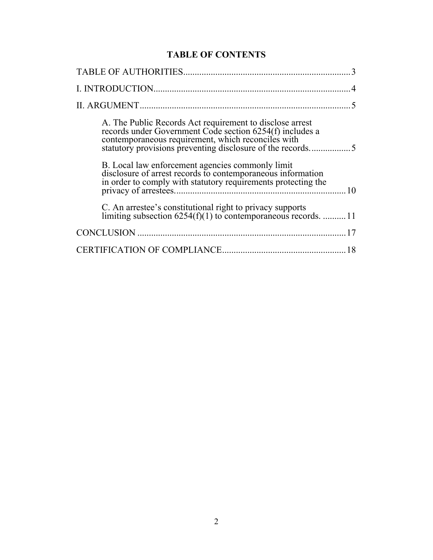# **TABLE OF CONTENTS**

| A. The Public Records Act requirement to disclose arrest<br>records under Government Code section 6254(f) includes a<br>contemporaneous requirement, which reconciles with       |
|----------------------------------------------------------------------------------------------------------------------------------------------------------------------------------|
| B. Local law enforcement agencies commonly limit<br>disclosure of arrest records to contemporaneous information<br>in order to comply with statutory requirements protecting the |
| C. An arrestee's constitutional right to privacy supports<br>limiting subsection $6254(f)(1)$ to contemporaneous records.  11                                                    |
|                                                                                                                                                                                  |
|                                                                                                                                                                                  |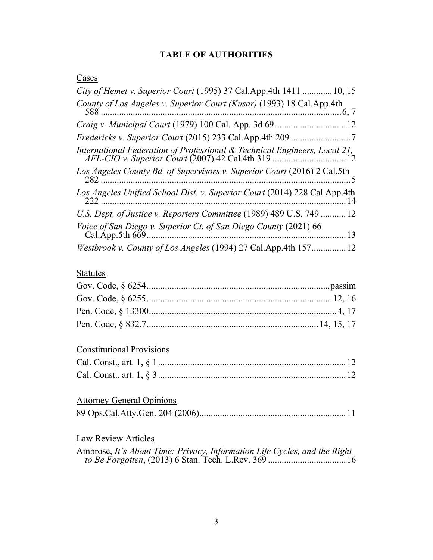## **TABLE OF AUTHORITIES**

## **Cases**

| City of Hemet v. Superior Court (1995) 37 Cal.App.4th 1411  10, 15              |
|---------------------------------------------------------------------------------|
|                                                                                 |
|                                                                                 |
|                                                                                 |
|                                                                                 |
|                                                                                 |
| Los Angeles Unified School Dist. v. Superior Court (2014) 228 Cal.App.4th<br>14 |
| U.S. Dept. of Justice v. Reporters Committee (1989) 489 U.S. 749  12            |
| Voice of San Diego v. Superior Ct. of San Diego County (2021) 66<br>13          |
| Westbrook v. County of Los Angeles (1994) 27 Cal.App.4th 157<br>12              |

## **Statutes**

# Constitutional Provisions

# Attorney General Opinions

|--|--|--|--|

# Law Review Articles

| Ambrose, It's About Time: Privacy, Information Life Cycles, and the Right |  |
|---------------------------------------------------------------------------|--|
|                                                                           |  |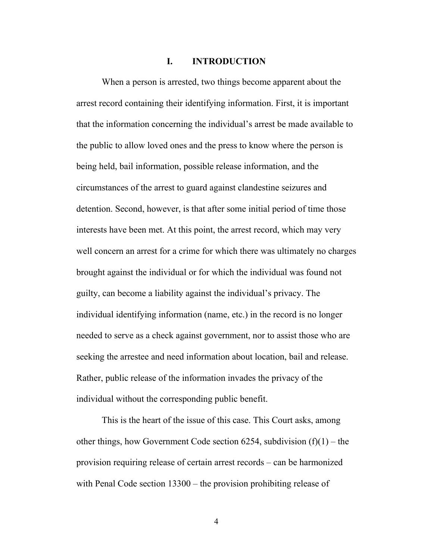#### **I. INTRODUCTION**

When a person is arrested, two things become apparent about the arrest record containing their identifying information. First, it is important that the information concerning the individual's arrest be made available to the public to allow loved ones and the press to know where the person is being held, bail information, possible release information, and the circumstances of the arrest to guard against clandestine seizures and detention. Second, however, is that after some initial period of time those interests have been met. At this point, the arrest record, which may very well concern an arrest for a crime for which there was ultimately no charges brought against the individual or for which the individual was found not guilty, can become a liability against the individual's privacy. The individual identifying information (name, etc.) in the record is no longer needed to serve as a check against government, nor to assist those who are seeking the arrestee and need information about location, bail and release. Rather, public release of the information invades the privacy of the individual without the corresponding public benefit.

This is the heart of the issue of this case. This Court asks, among other things, how Government Code section 6254, subdivision  $(f)(1)$  – the provision requiring release of certain arrest records – can be harmonized with Penal Code section 13300 – the provision prohibiting release of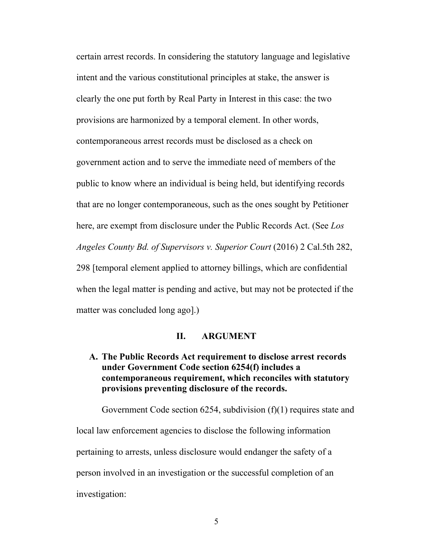certain arrest records. In considering the statutory language and legislative intent and the various constitutional principles at stake, the answer is clearly the one put forth by Real Party in Interest in this case: the two provisions are harmonized by a temporal element. In other words, contemporaneous arrest records must be disclosed as a check on government action and to serve the immediate need of members of the public to know where an individual is being held, but identifying records that are no longer contemporaneous, such as the ones sought by Petitioner here, are exempt from disclosure under the Public Records Act. (See *Los Angeles County Bd. of Supervisors v. Superior Court* (2016) 2 Cal.5th 282, 298 [temporal element applied to attorney billings, which are confidential when the legal matter is pending and active, but may not be protected if the matter was concluded long ago].)

#### **II. ARGUMENT**

## **A. The Public Records Act requirement to disclose arrest records under Government Code section 6254(f) includes a contemporaneous requirement, which reconciles with statutory provisions preventing disclosure of the records.**

Government Code section 6254, subdivision (f)(1) requires state and local law enforcement agencies to disclose the following information pertaining to arrests, unless disclosure would endanger the safety of a person involved in an investigation or the successful completion of an investigation: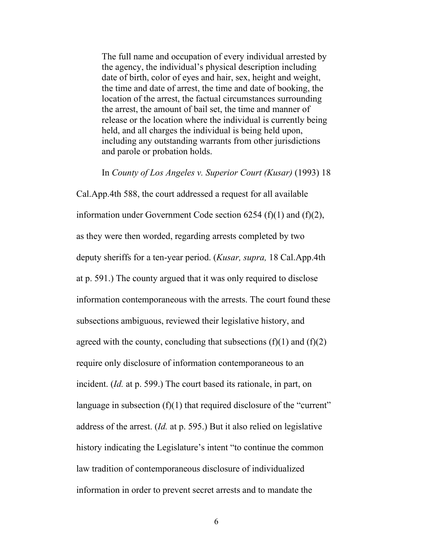The full name and occupation of every individual arrested by the agency, the individual's physical description including date of birth, color of eyes and hair, sex, height and weight, the time and date of arrest, the time and date of booking, the location of the arrest, the factual circumstances surrounding the arrest, the amount of bail set, the time and manner of release or the location where the individual is currently being held, and all charges the individual is being held upon, including any outstanding warrants from other jurisdictions and parole or probation holds.

In *County of Los Angeles v. Superior Court (Kusar)* (1993) 18

Cal.App.4th 588, the court addressed a request for all available information under Government Code section  $6254$  (f)(1) and (f)(2), as they were then worded, regarding arrests completed by two deputy sheriffs for a ten-year period. (*Kusar, supra,* 18 Cal.App.4th at p. 591.) The county argued that it was only required to disclose information contemporaneous with the arrests. The court found these subsections ambiguous, reviewed their legislative history, and agreed with the county, concluding that subsections  $(f)(1)$  and  $(f)(2)$ require only disclosure of information contemporaneous to an incident. (*Id.* at p. 599.) The court based its rationale, in part, on language in subsection  $(f)(1)$  that required disclosure of the "current" address of the arrest. (*Id.* at p. 595.) But it also relied on legislative history indicating the Legislature's intent "to continue the common law tradition of contemporaneous disclosure of individualized information in order to prevent secret arrests and to mandate the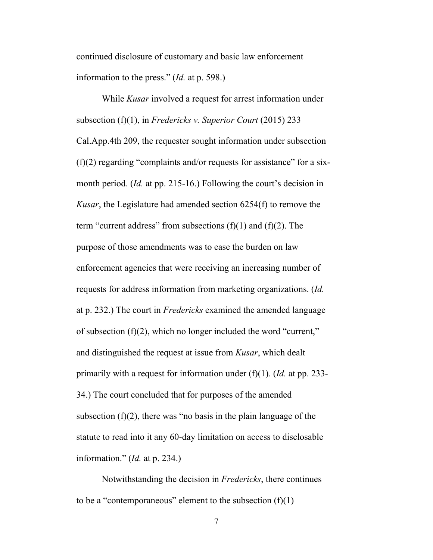continued disclosure of customary and basic law enforcement information to the press." (*Id.* at p. 598.)

While *Kusar* involved a request for arrest information under subsection (f)(1), in *Fredericks v. Superior Court* (2015) 233 Cal.App.4th 209, the requester sought information under subsection  $(f)(2)$  regarding "complaints and/or requests for assistance" for a sixmonth period. (*Id.* at pp. 215-16.) Following the court's decision in *Kusar*, the Legislature had amended section 6254(f) to remove the term "current address" from subsections  $(f)(1)$  and  $(f)(2)$ . The purpose of those amendments was to ease the burden on law enforcement agencies that were receiving an increasing number of requests for address information from marketing organizations. (*Id.* at p. 232.) The court in *Fredericks* examined the amended language of subsection (f)(2), which no longer included the word "current," and distinguished the request at issue from *Kusar*, which dealt primarily with a request for information under (f)(1). (*Id.* at pp. 233- 34.) The court concluded that for purposes of the amended subsection  $(f)(2)$ , there was "no basis in the plain language of the statute to read into it any 60-day limitation on access to disclosable information." (*Id.* at p. 234.)

Notwithstanding the decision in *Fredericks*, there continues to be a "contemporaneous" element to the subsection  $(f)(1)$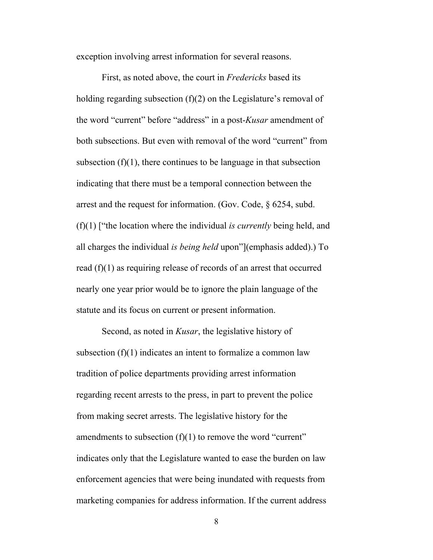exception involving arrest information for several reasons.

First, as noted above, the court in *Fredericks* based its holding regarding subsection (f)(2) on the Legislature's removal of the word "current" before "address" in a post-*Kusar* amendment of both subsections. But even with removal of the word "current" from subsection  $(f)(1)$ , there continues to be language in that subsection indicating that there must be a temporal connection between the arrest and the request for information. (Gov. Code, § 6254, subd. (f)(1) ["the location where the individual *is currently* being held, and all charges the individual *is being held* upon"](emphasis added).) To read (f)(1) as requiring release of records of an arrest that occurred nearly one year prior would be to ignore the plain language of the statute and its focus on current or present information.

Second, as noted in *Kusar*, the legislative history of subsection (f)(1) indicates an intent to formalize a common law tradition of police departments providing arrest information regarding recent arrests to the press, in part to prevent the police from making secret arrests. The legislative history for the amendments to subsection  $(f)(1)$  to remove the word "current" indicates only that the Legislature wanted to ease the burden on law enforcement agencies that were being inundated with requests from marketing companies for address information. If the current address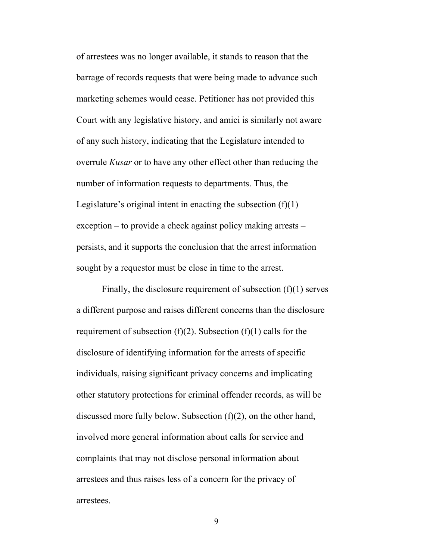of arrestees was no longer available, it stands to reason that the barrage of records requests that were being made to advance such marketing schemes would cease. Petitioner has not provided this Court with any legislative history, and amici is similarly not aware of any such history, indicating that the Legislature intended to overrule *Kusar* or to have any other effect other than reducing the number of information requests to departments. Thus, the Legislature's original intent in enacting the subsection  $(f)(1)$ exception – to provide a check against policy making arrests – persists, and it supports the conclusion that the arrest information sought by a requestor must be close in time to the arrest.

Finally, the disclosure requirement of subsection (f)(1) serves a different purpose and raises different concerns than the disclosure requirement of subsection  $(f)(2)$ . Subsection  $(f)(1)$  calls for the disclosure of identifying information for the arrests of specific individuals, raising significant privacy concerns and implicating other statutory protections for criminal offender records, as will be discussed more fully below. Subsection (f)(2), on the other hand, involved more general information about calls for service and complaints that may not disclose personal information about arrestees and thus raises less of a concern for the privacy of arrestees.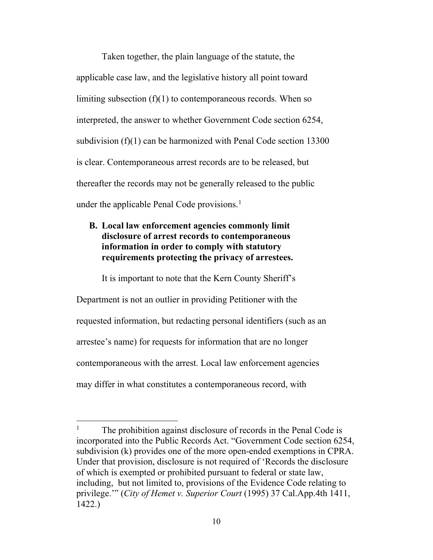Taken together, the plain language of the statute, the applicable case law, and the legislative history all point toward limiting subsection (f)(1) to contemporaneous records. When so interpreted, the answer to whether Government Code section 6254, subdivision (f)(1) can be harmonized with Penal Code section 13300 is clear. Contemporaneous arrest records are to be released, but thereafter the records may not be generally released to the public under the applicable Penal Code provisions.<sup>[1](#page-9-0)</sup>

## **B. Local law enforcement agencies commonly limit disclosure of arrest records to contemporaneous information in order to comply with statutory requirements protecting the privacy of arrestees.**

It is important to note that the Kern County Sheriff's

Department is not an outlier in providing Petitioner with the requested information, but redacting personal identifiers (such as an arrestee's name) for requests for information that are no longer contemporaneous with the arrest. Local law enforcement agencies may differ in what constitutes a contemporaneous record, with

<span id="page-9-0"></span><sup>&</sup>lt;sup>1</sup> The prohibition against disclosure of records in the Penal Code is incorporated into the Public Records Act. "Government Code section 6254, subdivision (k) provides one of the more open-ended exemptions in CPRA. Under that provision, disclosure is not required of 'Records the disclosure of which is exempted or prohibited pursuant to federal or state law, including, but not limited to, provisions of the Evidence Code relating to privilege.'" (*City of Hemet v. Superior Court* (1995) 37 Cal.App.4th 1411, 1422.)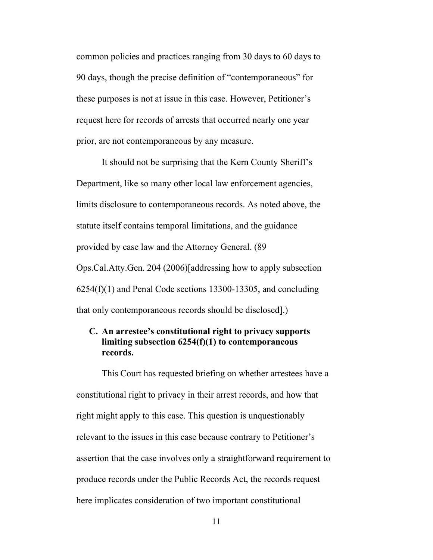common policies and practices ranging from 30 days to 60 days to 90 days, though the precise definition of "contemporaneous" for these purposes is not at issue in this case. However, Petitioner's request here for records of arrests that occurred nearly one year prior, are not contemporaneous by any measure.

It should not be surprising that the Kern County Sheriff's Department, like so many other local law enforcement agencies, limits disclosure to contemporaneous records. As noted above, the statute itself contains temporal limitations, and the guidance provided by case law and the Attorney General. (89 Ops.Cal.Atty.Gen. 204 (2006)[addressing how to apply subsection 6254(f)(1) and Penal Code sections 13300-13305, and concluding that only contemporaneous records should be disclosed].)

## **C. An arrestee's constitutional right to privacy supports limiting subsection 6254(f)(1) to contemporaneous records.**

This Court has requested briefing on whether arrestees have a constitutional right to privacy in their arrest records, and how that right might apply to this case. This question is unquestionably relevant to the issues in this case because contrary to Petitioner's assertion that the case involves only a straightforward requirement to produce records under the Public Records Act, the records request here implicates consideration of two important constitutional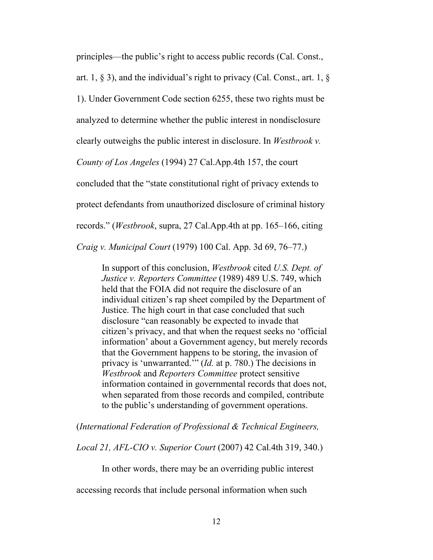principles—the public's right to access public records (Cal. Const.,

art. 1,  $\S$  3), and the individual's right to privacy (Cal. Const., art. 1,  $\S$ 

1). Under Government Code section 6255, these two rights must be

analyzed to determine whether the public interest in nondisclosure

clearly outweighs the public interest in disclosure. In *Westbrook v.* 

*County of Los Angeles* (1994) 27 Cal.App.4th 157, the court

concluded that the "state constitutional right of privacy extends to

protect defendants from unauthorized disclosure of criminal history

records." (*Westbrook*, supra, 27 Cal.App.4th at pp. 165–166, citing

*Craig v. Municipal Court* (1979) 100 Cal. App. 3d 69, 76–77.)

In support of this conclusion, *Westbrook* cited *U.S. Dept. of Justice v. Reporters Committee* (1989) 489 U.S. 749, which held that the FOIA did not require the disclosure of an individual citizen's rap sheet compiled by the Department of Justice. The high court in that case concluded that such disclosure "can reasonably be expected to invade that citizen's privacy, and that when the request seeks no 'official information' about a Government agency, but merely records that the Government happens to be storing, the invasion of privacy is 'unwarranted.'" (*Id.* at p. 780.) The decisions in *Westbrook* and *Reporters Committee* protect sensitive information contained in governmental records that does not, when separated from those records and compiled, contribute to the public's understanding of government operations.

(*International Federation of Professional & Technical Engineers,* 

*Local 21, AFL-CIO v. Superior Court* (2007) 42 Cal.4th 319, 340.)

In other words, there may be an overriding public interest

accessing records that include personal information when such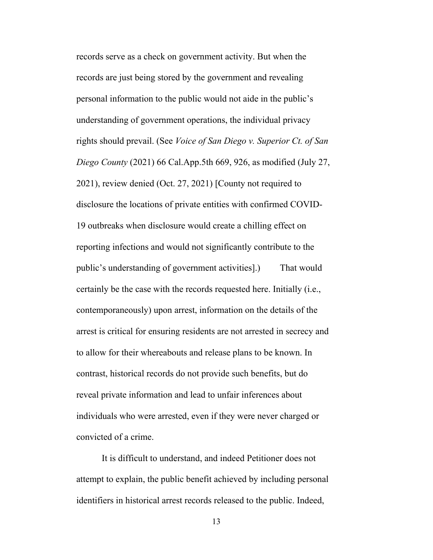records serve as a check on government activity. But when the records are just being stored by the government and revealing personal information to the public would not aide in the public's understanding of government operations, the individual privacy rights should prevail. (See *Voice of San Diego v. Superior Ct. of San Diego County* (2021) 66 Cal.App.5th 669, 926, as modified (July 27, 2021), review denied (Oct. 27, 2021) [County not required to disclosure the locations of private entities with confirmed COVID-19 outbreaks when disclosure would create a chilling effect on reporting infections and would not significantly contribute to the public's understanding of government activities].) That would certainly be the case with the records requested here. Initially (i.e., contemporaneously) upon arrest, information on the details of the arrest is critical for ensuring residents are not arrested in secrecy and to allow for their whereabouts and release plans to be known. In contrast, historical records do not provide such benefits, but do reveal private information and lead to unfair inferences about individuals who were arrested, even if they were never charged or convicted of a crime.

It is difficult to understand, and indeed Petitioner does not attempt to explain, the public benefit achieved by including personal identifiers in historical arrest records released to the public. Indeed,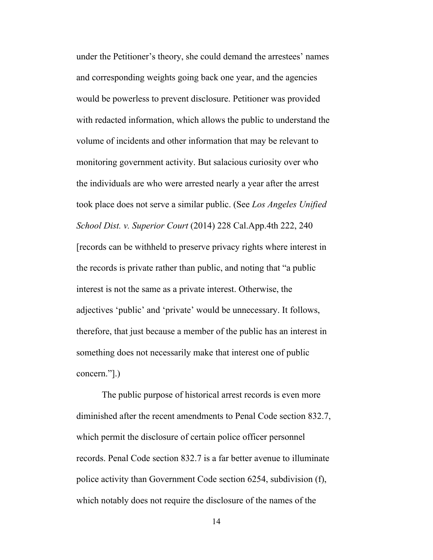under the Petitioner's theory, she could demand the arrestees' names and corresponding weights going back one year, and the agencies would be powerless to prevent disclosure. Petitioner was provided with redacted information, which allows the public to understand the volume of incidents and other information that may be relevant to monitoring government activity. But salacious curiosity over who the individuals are who were arrested nearly a year after the arrest took place does not serve a similar public. (See *Los Angeles Unified School Dist. v. Superior Court* (2014) 228 Cal.App.4th 222, 240 [records can be withheld to preserve privacy rights where interest in the records is private rather than public, and noting that "a public interest is not the same as a private interest. Otherwise, the adjectives 'public' and 'private' would be unnecessary. It follows, therefore, that just because a member of the public has an interest in something does not necessarily make that interest one of public concern."].)

The public purpose of historical arrest records is even more diminished after the recent amendments to Penal Code section 832.7, which permit the disclosure of certain police officer personnel records. Penal Code section 832.7 is a far better avenue to illuminate police activity than Government Code section 6254, subdivision (f), which notably does not require the disclosure of the names of the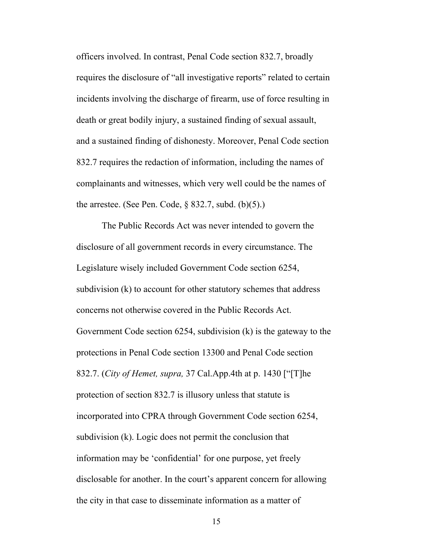officers involved. In contrast, Penal Code section 832.7, broadly requires the disclosure of "all investigative reports" related to certain incidents involving the discharge of firearm, use of force resulting in death or great bodily injury, a sustained finding of sexual assault, and a sustained finding of dishonesty. Moreover, Penal Code section 832.7 requires the redaction of information, including the names of complainants and witnesses, which very well could be the names of the arrestee. (See Pen. Code,  $\S$  832.7, subd. (b)(5).)

The Public Records Act was never intended to govern the disclosure of all government records in every circumstance. The Legislature wisely included Government Code section 6254, subdivision (k) to account for other statutory schemes that address concerns not otherwise covered in the Public Records Act. Government Code section 6254, subdivision (k) is the gateway to the protections in Penal Code section 13300 and Penal Code section 832.7. (*City of Hemet, supra,* 37 Cal.App.4th at p. 1430 ["[T]he protection of section 832.7 is illusory unless that statute is incorporated into CPRA through Government Code section 6254, subdivision (k). Logic does not permit the conclusion that information may be 'confidential' for one purpose, yet freely disclosable for another. In the court's apparent concern for allowing the city in that case to disseminate information as a matter of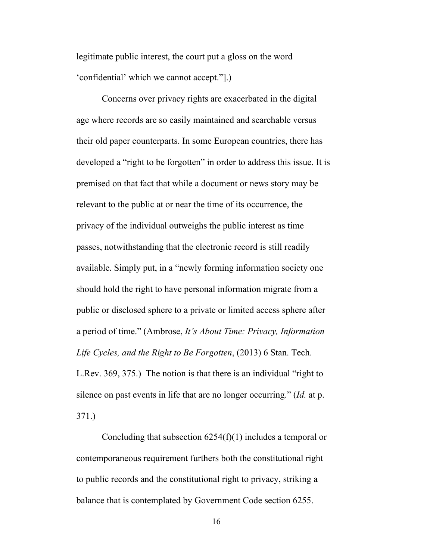legitimate public interest, the court put a gloss on the word 'confidential' which we cannot accept."].)

Concerns over privacy rights are exacerbated in the digital age where records are so easily maintained and searchable versus their old paper counterparts. In some European countries, there has developed a "right to be forgotten" in order to address this issue. It is premised on that fact that while a document or news story may be relevant to the public at or near the time of its occurrence, the privacy of the individual outweighs the public interest as time passes, notwithstanding that the electronic record is still readily available. Simply put, in a "newly forming information society one should hold the right to have personal information migrate from a public or disclosed sphere to a private or limited access sphere after a period of time." (Ambrose, *It's About Time: Privacy, Information Life Cycles, and the Right to Be Forgotten*, (2013) 6 Stan. Tech. L.Rev. 369, 375.) The notion is that there is an individual "right to silence on past events in life that are no longer occurring." (*Id.* at p.

371.)

Concluding that subsection 6254(f)(1) includes a temporal or contemporaneous requirement furthers both the constitutional right to public records and the constitutional right to privacy, striking a balance that is contemplated by Government Code section 6255.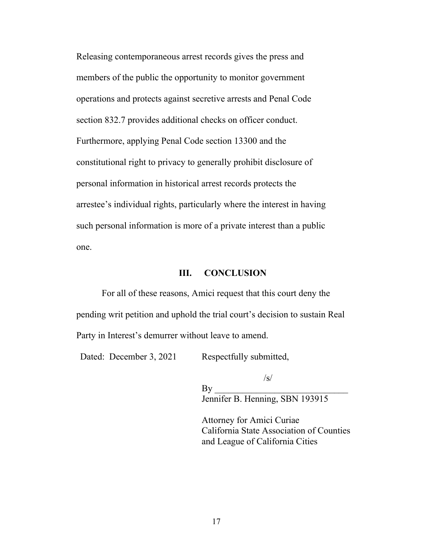Releasing contemporaneous arrest records gives the press and members of the public the opportunity to monitor government operations and protects against secretive arrests and Penal Code section 832.7 provides additional checks on officer conduct. Furthermore, applying Penal Code section 13300 and the constitutional right to privacy to generally prohibit disclosure of personal information in historical arrest records protects the arrestee's individual rights, particularly where the interest in having such personal information is more of a private interest than a public one.

#### **III. CONCLUSION**

For all of these reasons, Amici request that this court deny the pending writ petition and uphold the trial court's decision to sustain Real Party in Interest's demurrer without leave to amend.

Dated: December 3, 2021 Respectfully submitted,

 $\sqrt{s}$ / By \_\_\_\_\_\_\_\_\_\_\_\_\_\_\_\_\_\_\_\_\_\_\_\_\_\_\_\_\_ Jennifer B. Henning, SBN 193915

Attorney for Amici Curiae California State Association of Counties and League of California Cities